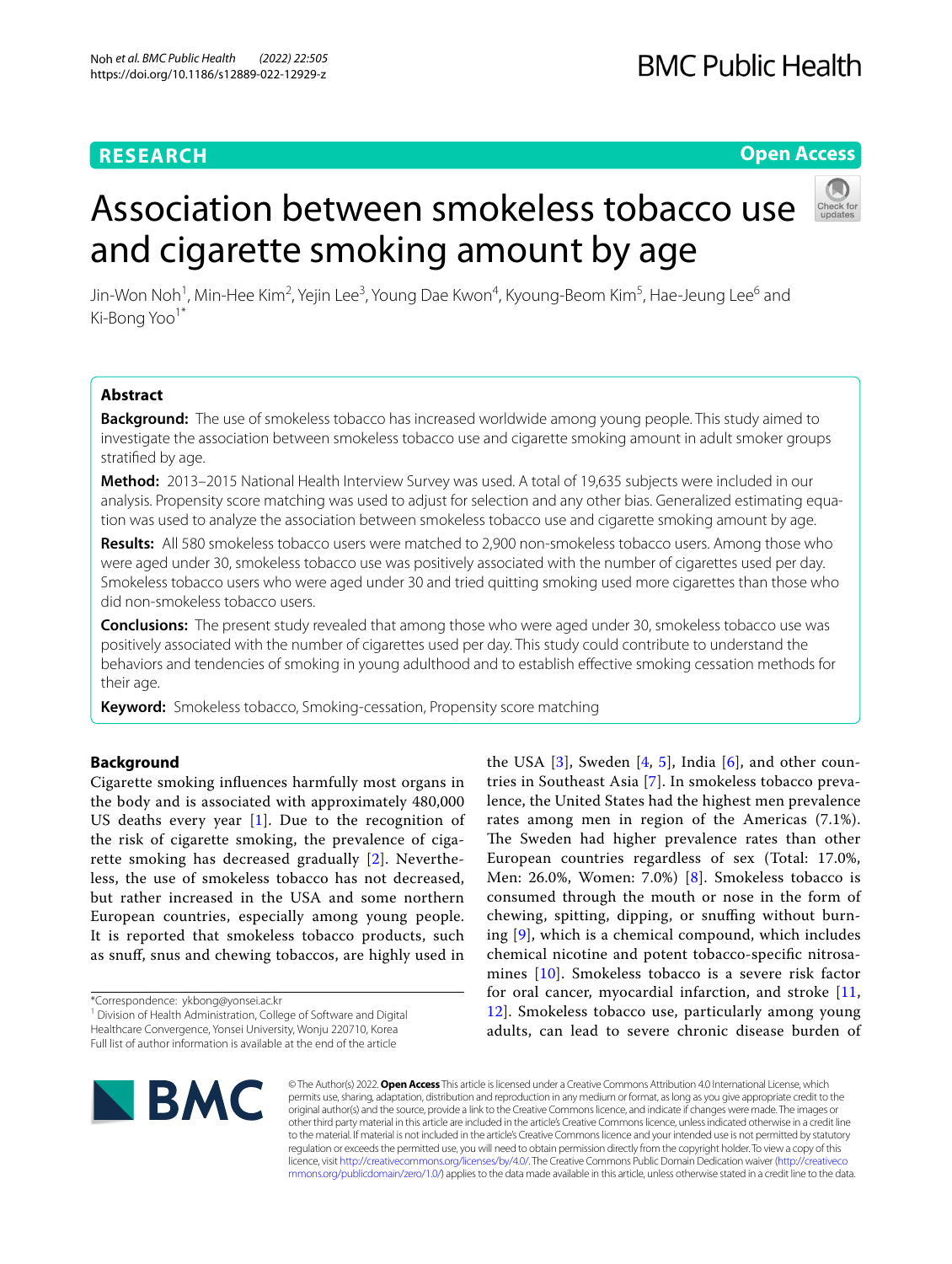### **RESEARCH**

#### **Open Access**

# and cigarette smoking amount by age

Association between smokeless tobacco use

Jin-Won Noh<sup>1</sup>, Min-Hee Kim<sup>2</sup>, Yejin Lee<sup>3</sup>, Young Dae Kwon<sup>4</sup>, Kyoung-Beom Kim<sup>5</sup>, Hae-Jeung Lee<sup>6</sup> and Ki-Bong Yoo<sup>1\*</sup>

#### **Abstract**

**Background:** The use of smokeless tobacco has increased worldwide among young people. This study aimed to investigate the association between smokeless tobacco use and cigarette smoking amount in adult smoker groups stratifed by age.

**Method:** 2013–2015 National Health Interview Survey was used. A total of 19,635 subjects were included in our analysis. Propensity score matching was used to adjust for selection and any other bias. Generalized estimating equation was used to analyze the association between smokeless tobacco use and cigarette smoking amount by age.

**Results:** All 580 smokeless tobacco users were matched to 2,900 non-smokeless tobacco users. Among those who were aged under 30, smokeless tobacco use was positively associated with the number of cigarettes used per day. Smokeless tobacco users who were aged under 30 and tried quitting smoking used more cigarettes than those who did non-smokeless tobacco users.

**Conclusions:** The present study revealed that among those who were aged under 30, smokeless tobacco use was positively associated with the number of cigarettes used per day. This study could contribute to understand the behaviors and tendencies of smoking in young adulthood and to establish efective smoking cessation methods for their age.

**Keyword:** Smokeless tobacco, Smoking-cessation, Propensity score matching

#### **Background**

Cigarette smoking infuences harmfully most organs in the body and is associated with approximately 480,000 US deaths every year  $[1]$  $[1]$ . Due to the recognition of the risk of cigarette smoking, the prevalence of cigarette smoking has decreased gradually [[2\]](#page-6-1). Nevertheless, the use of smokeless tobacco has not decreased, but rather increased in the USA and some northern European countries, especially among young people. It is reported that smokeless tobacco products, such as snuf, snus and chewing tobaccos, are highly used in

\*Correspondence: ykbong@yonsei.ac.kr

<sup>1</sup> Division of Health Administration, College of Software and Digital Healthcare Convergence, Yonsei University, Wonju 220710, Korea Full list of author information is available at the end of the article

the USA  $[3]$  $[3]$ , Sweden  $[4, 5]$  $[4, 5]$  $[4, 5]$  $[4, 5]$ , India  $[6]$  $[6]$ , and other countries in Southeast Asia [[7](#page-6-6)]. In smokeless tobacco prevalence, the United States had the highest men prevalence rates among men in region of the Americas (7.1%). The Sweden had higher prevalence rates than other European countries regardless of sex (Total: 17.0%, Men: 26.0%, Women: 7.0%) [[8](#page-6-7)]. Smokeless tobacco is consumed through the mouth or nose in the form of chewing, spitting, dipping, or snufng without burning [\[9](#page-6-8)], which is a chemical compound, which includes chemical nicotine and potent tobacco-specifc nitrosamines [[10\]](#page-6-9). Smokeless tobacco is a severe risk factor for oral cancer, myocardial infarction, and stroke [\[11](#page-6-10), [12\]](#page-6-11). Smokeless tobacco use, particularly among young adults, can lead to severe chronic disease burden of



© The Author(s) 2022. **Open Access** This article is licensed under a Creative Commons Attribution 4.0 International License, which permits use, sharing, adaptation, distribution and reproduction in any medium or format, as long as you give appropriate credit to the original author(s) and the source, provide a link to the Creative Commons licence, and indicate if changes were made. The images or other third party material in this article are included in the article's Creative Commons licence, unless indicated otherwise in a credit line to the material. If material is not included in the article's Creative Commons licence and your intended use is not permitted by statutory regulation or exceeds the permitted use, you will need to obtain permission directly from the copyright holder. To view a copy of this licence, visit [http://creativecommons.org/licenses/by/4.0/.](http://creativecommons.org/licenses/by/4.0/) The Creative Commons Public Domain Dedication waiver ([http://creativeco](http://creativecommons.org/publicdomain/zero/1.0/) [mmons.org/publicdomain/zero/1.0/](http://creativecommons.org/publicdomain/zero/1.0/)) applies to the data made available in this article, unless otherwise stated in a credit line to the data.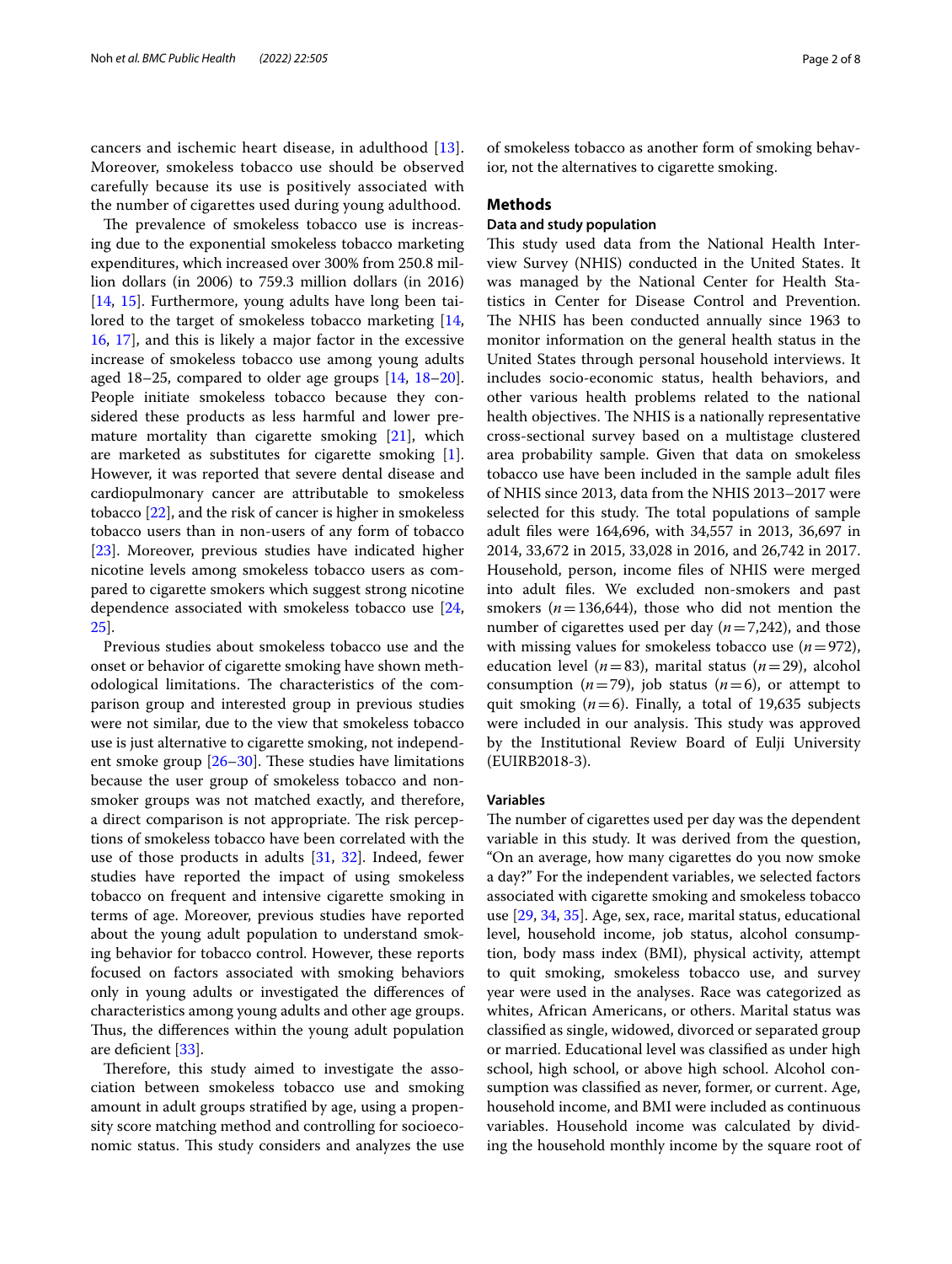cancers and ischemic heart disease, in adulthood [[13\]](#page-6-12). Moreover, smokeless tobacco use should be observed carefully because its use is positively associated with the number of cigarettes used during young adulthood.

The prevalence of smokeless tobacco use is increasing due to the exponential smokeless tobacco marketing expenditures, which increased over 300% from 250.8 million dollars (in 2006) to 759.3 million dollars (in 2016) [[14,](#page-6-13) [15](#page-6-14)]. Furthermore, young adults have long been tai-lored to the target of smokeless tobacco marketing [\[14](#page-6-13), [16,](#page-6-15) [17](#page-6-16)], and this is likely a major factor in the excessive increase of smokeless tobacco use among young adults aged 18–25, compared to older age groups [[14,](#page-6-13) [18](#page-6-17)[–20](#page-6-18)]. People initiate smokeless tobacco because they considered these products as less harmful and lower premature mortality than cigarette smoking [[21\]](#page-6-19), which are marketed as substitutes for cigarette smoking [\[1](#page-6-0)]. However, it was reported that severe dental disease and cardiopulmonary cancer are attributable to smokeless tobacco [\[22\]](#page-6-20), and the risk of cancer is higher in smokeless tobacco users than in non-users of any form of tobacco [[23\]](#page-6-21). Moreover, previous studies have indicated higher nicotine levels among smokeless tobacco users as compared to cigarette smokers which suggest strong nicotine dependence associated with smokeless tobacco use [\[24](#page-6-22), [25\]](#page-6-23).

Previous studies about smokeless tobacco use and the onset or behavior of cigarette smoking have shown methodological limitations. The characteristics of the comparison group and interested group in previous studies were not similar, due to the view that smokeless tobacco use is just alternative to cigarette smoking, not independent smoke group  $[26–30]$  $[26–30]$  $[26–30]$  $[26–30]$ . These studies have limitations because the user group of smokeless tobacco and nonsmoker groups was not matched exactly, and therefore, a direct comparison is not appropriate. The risk perceptions of smokeless tobacco have been correlated with the use of those products in adults [[31](#page-6-26), [32\]](#page-6-27). Indeed, fewer studies have reported the impact of using smokeless tobacco on frequent and intensive cigarette smoking in terms of age. Moreover, previous studies have reported about the young adult population to understand smoking behavior for tobacco control. However, these reports focused on factors associated with smoking behaviors only in young adults or investigated the diferences of characteristics among young adults and other age groups. Thus, the differences within the young adult population are deficient [\[33](#page-6-28)].

Therefore, this study aimed to investigate the association between smokeless tobacco use and smoking amount in adult groups stratifed by age, using a propensity score matching method and controlling for socioeconomic status. This study considers and analyzes the use of smokeless tobacco as another form of smoking behavior, not the alternatives to cigarette smoking.

#### **Methods**

#### **Data and study population**

This study used data from the National Health Interview Survey (NHIS) conducted in the United States. It was managed by the National Center for Health Statistics in Center for Disease Control and Prevention. The NHIS has been conducted annually since 1963 to monitor information on the general health status in the United States through personal household interviews. It includes socio-economic status, health behaviors, and other various health problems related to the national health objectives. The NHIS is a nationally representative cross-sectional survey based on a multistage clustered area probability sample. Given that data on smokeless tobacco use have been included in the sample adult fles of NHIS since 2013, data from the NHIS 2013–2017 were selected for this study. The total populations of sample adult fles were 164,696, with 34,557 in 2013, 36,697 in 2014, 33,672 in 2015, 33,028 in 2016, and 26,742 in 2017. Household, person, income fles of NHIS were merged into adult fles. We excluded non-smokers and past smokers  $(n=136,644)$ , those who did not mention the number of cigarettes used per day (*n*=7,242), and those with missing values for smokeless tobacco use  $(n=972)$ , education level (*n*=83), marital status (*n*=29), alcohol consumption  $(n=79)$ , job status  $(n=6)$ , or attempt to quit smoking (*n*=6). Finally, a total of 19,635 subjects were included in our analysis. This study was approved by the Institutional Review Board of Eulji University (EUIRB2018-3).

#### **Variables**

The number of cigarettes used per day was the dependent variable in this study. It was derived from the question, "On an average, how many cigarettes do you now smoke a day?" For the independent variables, we selected factors associated with cigarette smoking and smokeless tobacco use [[29,](#page-6-29) [34](#page-6-30), [35\]](#page-6-31). Age, sex, race, marital status, educational level, household income, job status, alcohol consumption, body mass index (BMI), physical activity, attempt to quit smoking, smokeless tobacco use, and survey year were used in the analyses. Race was categorized as whites, African Americans, or others. Marital status was classifed as single, widowed, divorced or separated group or married. Educational level was classifed as under high school, high school, or above high school. Alcohol consumption was classifed as never, former, or current. Age, household income, and BMI were included as continuous variables. Household income was calculated by dividing the household monthly income by the square root of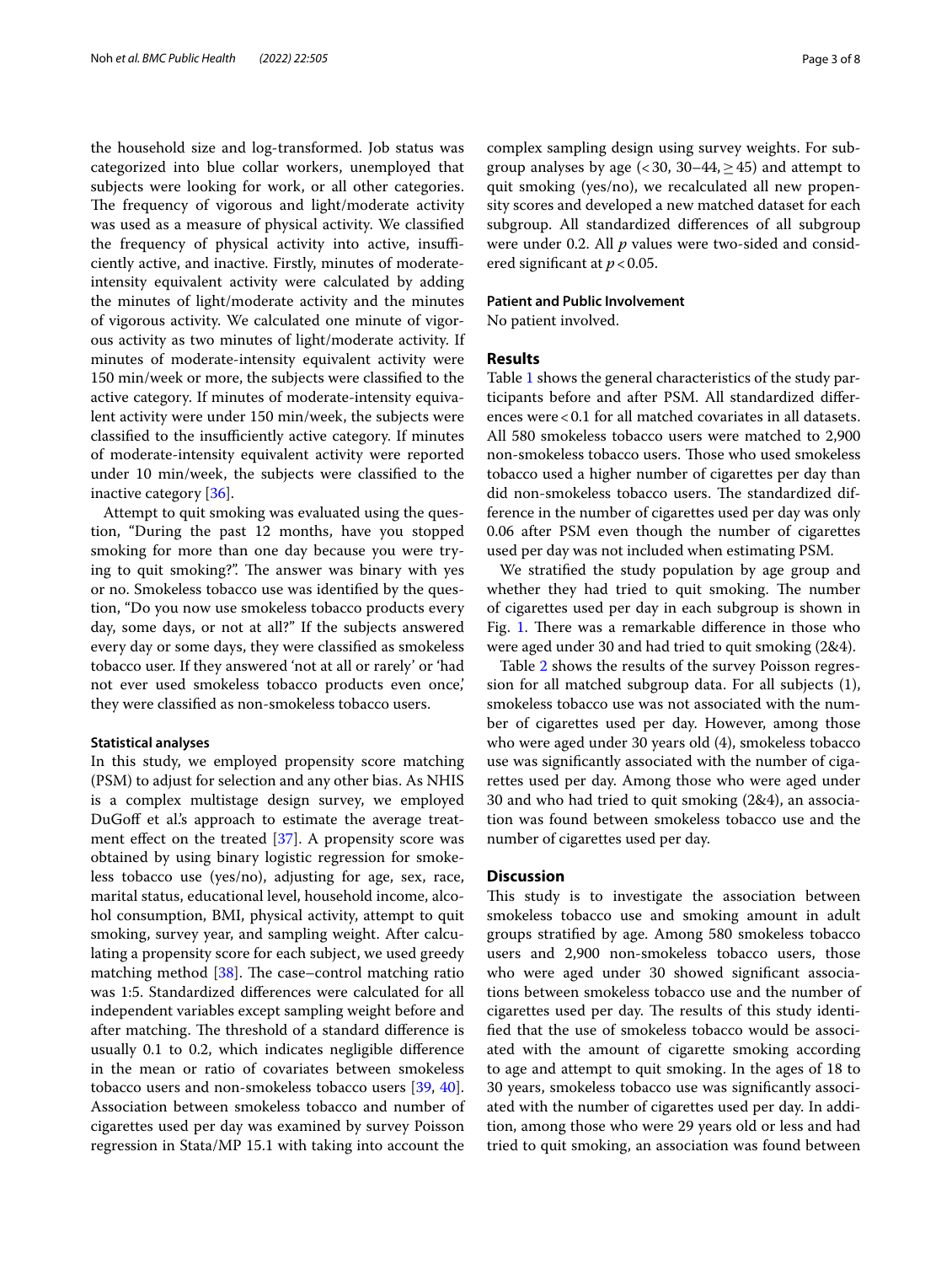the household size and log-transformed. Job status was categorized into blue collar workers, unemployed that subjects were looking for work, or all other categories. The frequency of vigorous and light/moderate activity was used as a measure of physical activity. We classifed the frequency of physical activity into active, insufficiently active, and inactive. Firstly, minutes of moderateintensity equivalent activity were calculated by adding the minutes of light/moderate activity and the minutes of vigorous activity. We calculated one minute of vigorous activity as two minutes of light/moderate activity. If minutes of moderate-intensity equivalent activity were 150 min/week or more, the subjects were classifed to the active category. If minutes of moderate-intensity equivalent activity were under 150 min/week, the subjects were classified to the insufficiently active category. If minutes of moderate-intensity equivalent activity were reported under 10 min/week, the subjects were classifed to the inactive category [\[36](#page-6-32)].

Attempt to quit smoking was evaluated using the question, "During the past 12 months, have you stopped smoking for more than one day because you were trying to quit smoking?". The answer was binary with yes or no. Smokeless tobacco use was identifed by the question, "Do you now use smokeless tobacco products every day, some days, or not at all?" If the subjects answered every day or some days, they were classifed as smokeless tobacco user. If they answered 'not at all or rarely' or 'had not ever used smokeless tobacco products even once,' they were classifed as non-smokeless tobacco users.

#### **Statistical analyses**

In this study, we employed propensity score matching (PSM) to adjust for selection and any other bias. As NHIS is a complex multistage design survey, we employed DuGoff et al's approach to estimate the average treatment effect on the treated  $[37]$  $[37]$ . A propensity score was obtained by using binary logistic regression for smokeless tobacco use (yes/no), adjusting for age, sex, race, marital status, educational level, household income, alcohol consumption, BMI, physical activity, attempt to quit smoking, survey year, and sampling weight. After calculating a propensity score for each subject, we used greedy matching method  $[38]$  $[38]$  $[38]$ . The case–control matching ratio was 1:5. Standardized diferences were calculated for all independent variables except sampling weight before and after matching. The threshold of a standard difference is usually 0.1 to 0.2, which indicates negligible diference in the mean or ratio of covariates between smokeless tobacco users and non-smokeless tobacco users [\[39](#page-7-0), [40](#page-7-1)]. Association between smokeless tobacco and number of cigarettes used per day was examined by survey Poisson regression in Stata/MP 15.1 with taking into account the complex sampling design using survey weights. For subgroup analyses by age  $( $30, 30-44, >45$ )$  and attempt to quit smoking (yes/no), we recalculated all new propensity scores and developed a new matched dataset for each subgroup. All standardized diferences of all subgroup were under 0.2. All *p* values were two-sided and considered signifcant at *p*<0.05.

#### **Patient and Public Involvement**

No patient involved.

#### **Results**

Table [1](#page-3-0) shows the general characteristics of the study participants before and after PSM. All standardized diferences were<0.1 for all matched covariates in all datasets. All 580 smokeless tobacco users were matched to 2,900 non-smokeless tobacco users. Those who used smokeless tobacco used a higher number of cigarettes per day than did non-smokeless tobacco users. The standardized difference in the number of cigarettes used per day was only 0.06 after PSM even though the number of cigarettes used per day was not included when estimating PSM.

We stratifed the study population by age group and whether they had tried to quit smoking. The number of cigarettes used per day in each subgroup is shown in Fig. [1](#page-4-0). There was a remarkable difference in those who were aged under 30 and had tried to quit smoking (2&4).

Table [2](#page-4-1) shows the results of the survey Poisson regression for all matched subgroup data. For all subjects (1), smokeless tobacco use was not associated with the number of cigarettes used per day. However, among those who were aged under 30 years old (4), smokeless tobacco use was signifcantly associated with the number of cigarettes used per day. Among those who were aged under 30 and who had tried to quit smoking (2&4), an association was found between smokeless tobacco use and the number of cigarettes used per day.

#### **Discussion**

This study is to investigate the association between smokeless tobacco use and smoking amount in adult groups stratifed by age. Among 580 smokeless tobacco users and 2,900 non-smokeless tobacco users, those who were aged under 30 showed signifcant associations between smokeless tobacco use and the number of cigarettes used per day. The results of this study identifed that the use of smokeless tobacco would be associated with the amount of cigarette smoking according to age and attempt to quit smoking. In the ages of 18 to 30 years, smokeless tobacco use was signifcantly associated with the number of cigarettes used per day. In addition, among those who were 29 years old or less and had tried to quit smoking, an association was found between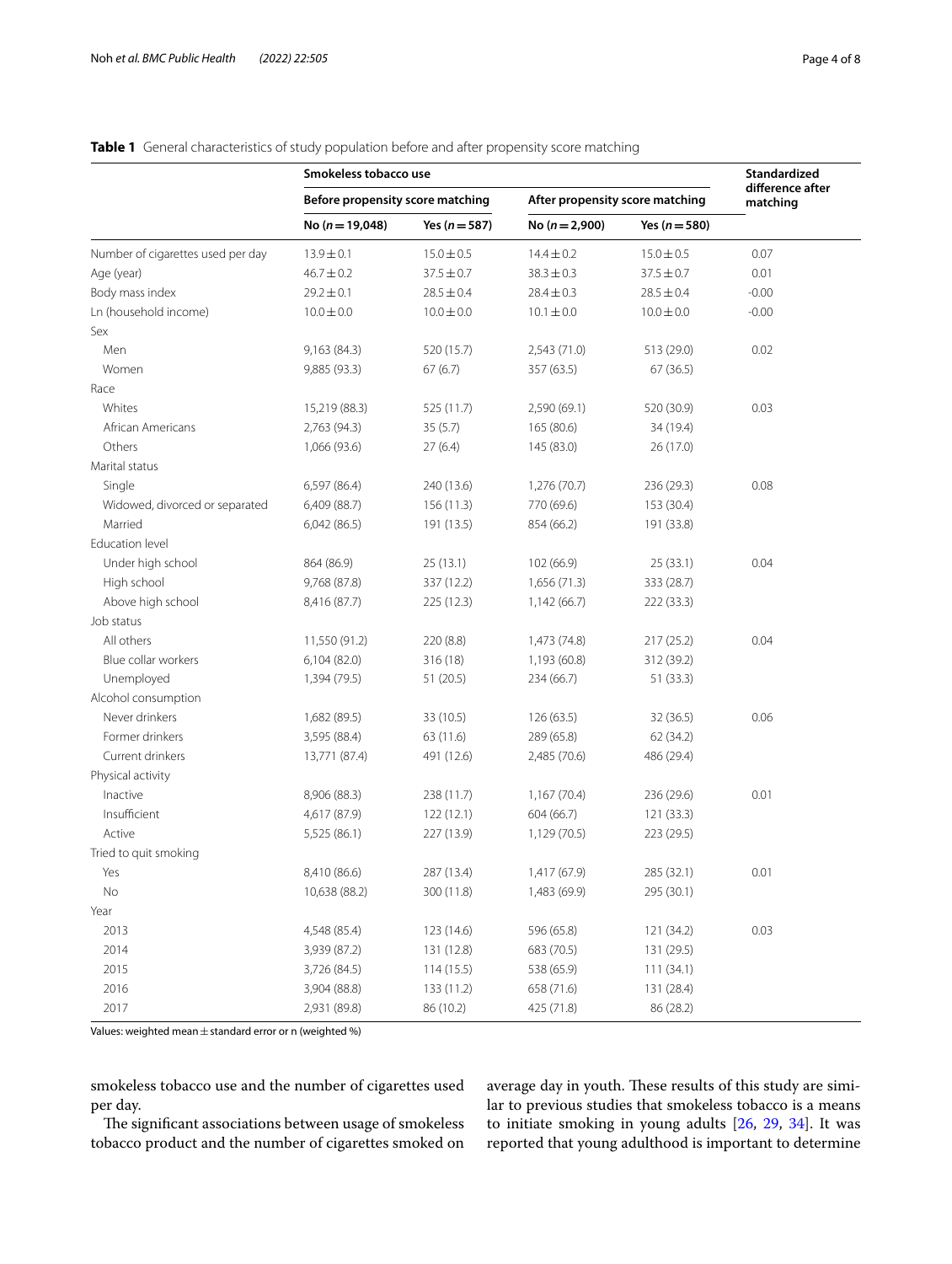|                                   | Smokeless tobacco use            |                   |                                 |                   | Standardized                 |
|-----------------------------------|----------------------------------|-------------------|---------------------------------|-------------------|------------------------------|
|                                   | Before propensity score matching |                   | After propensity score matching |                   | difference after<br>matching |
|                                   | No $(n = 19,048)$                | Yes ( $n = 587$ ) | No $(n=2,900)$                  | Yes ( $n = 580$ ) |                              |
| Number of cigarettes used per day | $13.9 \pm 0.1$                   | $15.0 \pm 0.5$    | $14.4 \pm 0.2$                  | $15.0 \pm 0.5$    | 0.07                         |
| Age (year)                        | $46.7 \pm 0.2$                   | $37.5 \pm 0.7$    | $38.3 \pm 0.3$                  | $37.5 \pm 0.7$    | 0.01                         |
| Body mass index                   | $29.2 \pm 0.1$                   | $28.5 \pm 0.4$    | $28.4 \pm 0.3$                  | $28.5 \pm 0.4$    | $-0.00$                      |
| Ln (household income)             | $10.0 \pm 0.0$                   | $10.0 \pm 0.0$    | $10.1 \pm 0.0$                  | $10.0 \pm 0.0$    | $-0.00$                      |
| Sex                               |                                  |                   |                                 |                   |                              |
| Men                               | 9,163 (84.3)                     | 520 (15.7)        | 2,543 (71.0)                    | 513 (29.0)        | 0.02                         |
| Women                             | 9,885 (93.3)                     | 67(6.7)           | 357 (63.5)                      | 67(36.5)          |                              |
| Race                              |                                  |                   |                                 |                   |                              |
| Whites                            | 15,219 (88.3)                    | 525 (11.7)        | 2,590 (69.1)                    | 520 (30.9)        | 0.03                         |
| African Americans                 | 2,763 (94.3)                     | 35(5.7)           | 165 (80.6)                      | 34 (19.4)         |                              |
| Others                            | 1,066 (93.6)                     | 27(6.4)           | 145 (83.0)                      | 26 (17.0)         |                              |
| Marital status                    |                                  |                   |                                 |                   |                              |
| Single                            | 6,597 (86.4)                     | 240 (13.6)        | 1,276 (70.7)                    | 236 (29.3)        | 0.08                         |
| Widowed, divorced or separated    | 6,409 (88.7)                     | 156(11.3)         | 770 (69.6)                      | 153 (30.4)        |                              |
| Married                           | 6,042(86.5)                      | 191 (13.5)        | 854 (66.2)                      | 191 (33.8)        |                              |
| <b>Fducation level</b>            |                                  |                   |                                 |                   |                              |
| Under high school                 | 864 (86.9)                       | 25 (13.1)         | 102 (66.9)                      | 25 (33.1)         | 0.04                         |
| High school                       | 9,768 (87.8)                     | 337 (12.2)        | 1,656 (71.3)                    | 333 (28.7)        |                              |
| Above high school                 | 8,416 (87.7)                     | 225 (12.3)        | 1,142 (66.7)                    | 222 (33.3)        |                              |
| Job status                        |                                  |                   |                                 |                   |                              |
| All others                        | 11,550 (91.2)                    | 220 (8.8)         | 1,473 (74.8)                    | 217 (25.2)        | 0.04                         |
| Blue collar workers               | 6,104 (82.0)                     | 316 (18)          | 1,193 (60.8)                    | 312 (39.2)        |                              |
| Unemployed                        | 1,394 (79.5)                     | 51(20.5)          | 234 (66.7)                      | 51 (33.3)         |                              |
| Alcohol consumption               |                                  |                   |                                 |                   |                              |
| Never drinkers                    | 1,682 (89.5)                     | 33 (10.5)         | 126 (63.5)                      | 32 (36.5)         | 0.06                         |
| Former drinkers                   | 3,595 (88.4)                     | 63 (11.6)         | 289 (65.8)                      | 62 (34.2)         |                              |
| Current drinkers                  | 13,771 (87.4)                    | 491 (12.6)        | 2,485 (70.6)                    | 486 (29.4)        |                              |
| Physical activity                 |                                  |                   |                                 |                   |                              |
| Inactive                          | 8,906 (88.3)                     | 238 (11.7)        | 1,167 (70.4)                    | 236 (29.6)        | 0.01                         |
| Insufficient                      | 4,617 (87.9)                     | 122 (12.1)        | 604 (66.7)                      | 121 (33.3)        |                              |
| Active                            | 5,525 (86.1)                     | 227 (13.9)        | 1,129 (70.5)                    | 223 (29.5)        |                              |
| Tried to quit smoking             |                                  |                   |                                 |                   |                              |
| Yes                               | 8,410 (86.6)                     | 287 (13.4)        | 1,417 (67.9)                    | 285 (32.1)        | 0.01                         |
| No                                | 10,638 (88.2)                    | 300 (11.8)        | 1,483 (69.9)                    | 295 (30.1)        |                              |
| Year                              |                                  |                   |                                 |                   |                              |
| 2013                              | 4,548 (85.4)                     | 123 (14.6)        | 596 (65.8)                      | 121 (34.2)        | 0.03                         |
| 2014                              | 3,939 (87.2)                     | 131 (12.8)        | 683 (70.5)                      | 131 (29.5)        |                              |
| 2015                              | 3,726 (84.5)                     | 114(15.5)         | 538 (65.9)                      | 111(34.1)         |                              |
| 2016                              | 3,904 (88.8)                     | 133 (11.2)        | 658 (71.6)                      | 131 (28.4)        |                              |
| 2017                              | 2,931 (89.8)                     | 86 (10.2)         | 425 (71.8)                      | 86 (28.2)         |                              |

#### <span id="page-3-0"></span>**Table 1** General characteristics of study population before and after propensity score matching

Values: weighted mean $\pm$  standard error or n (weighted %)

smokeless tobacco use and the number of cigarettes used per day.

The significant associations between usage of smokeless tobacco product and the number of cigarettes smoked on

average day in youth. These results of this study are similar to previous studies that smokeless tobacco is a means to initiate smoking in young adults [[26](#page-6-24), [29](#page-6-29), [34](#page-6-30)]. It was reported that young adulthood is important to determine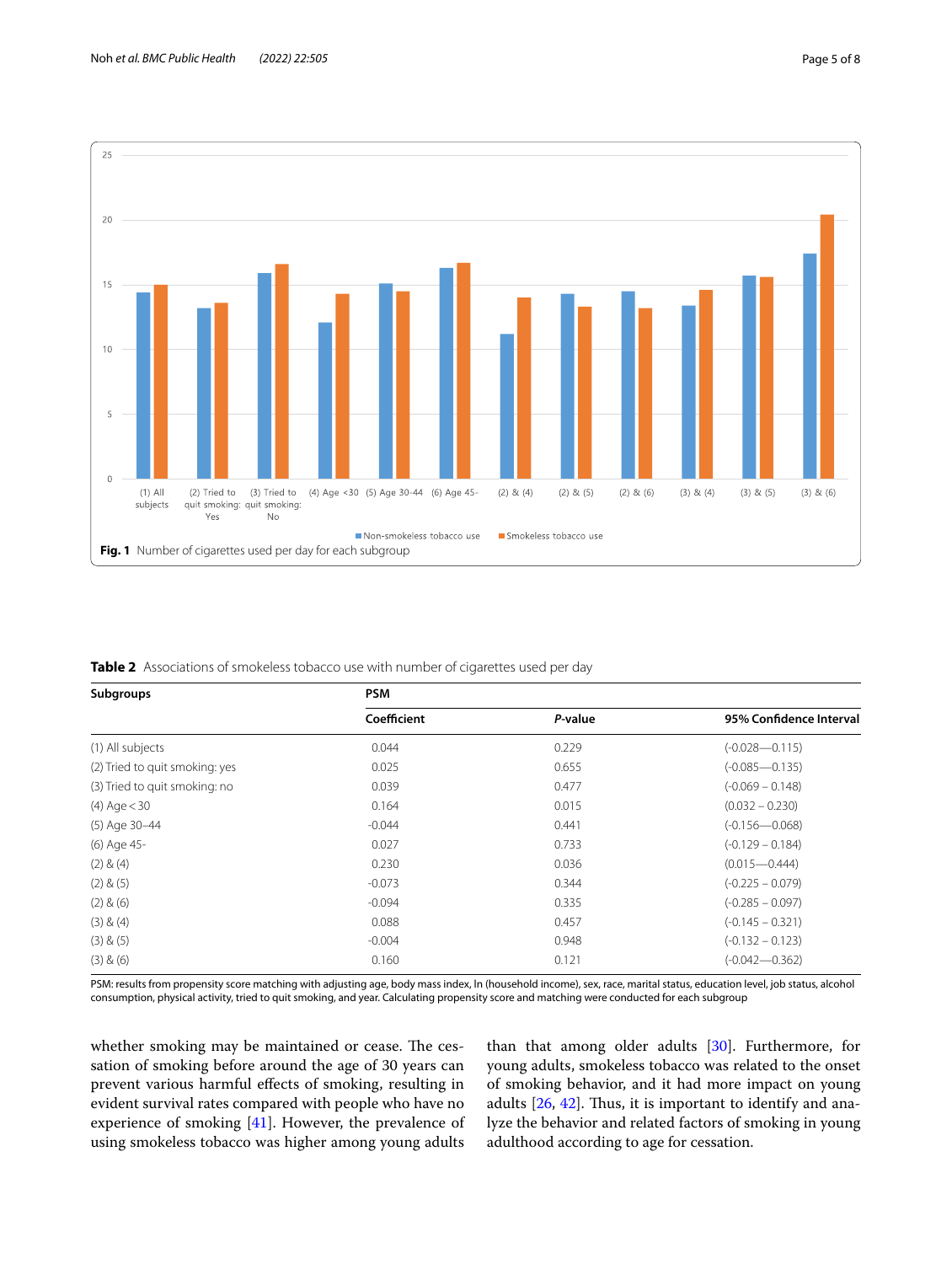



<span id="page-4-1"></span><span id="page-4-0"></span>**Table 2** Associations of smokeless tobacco use with number of cigarettes used per day

| Subgroups                      | <b>PSM</b>  |         |                         |  |  |
|--------------------------------|-------------|---------|-------------------------|--|--|
|                                | Coefficient | P-value | 95% Confidence Interval |  |  |
| (1) All subjects               | 0.044       | 0.229   | $(-0.028 - 0.115)$      |  |  |
| (2) Tried to quit smoking: yes | 0.025       | 0.655   | $(-0.085 - 0.135)$      |  |  |
| (3) Tried to quit smoking: no  | 0.039       | 0.477   | $(-0.069 - 0.148)$      |  |  |
| $(4)$ Age $<$ 30               | 0.164       | 0.015   | $(0.032 - 0.230)$       |  |  |
| (5) Age 30-44                  | $-0.044$    | 0.441   | $(-0.156 - 0.068)$      |  |  |
| (6) Age 45-                    | 0.027       | 0.733   | $(-0.129 - 0.184)$      |  |  |
| $(2)$ & $(4)$                  | 0.230       | 0.036   | $(0.015 - 0.444)$       |  |  |
| (2) & (5)                      | $-0.073$    | 0.344   | $(-0.225 - 0.079)$      |  |  |
| $(2)$ & $(6)$                  | $-0.094$    | 0.335   | $(-0.285 - 0.097)$      |  |  |
| $(3)$ & $(4)$                  | 0.088       | 0.457   | $(-0.145 - 0.321)$      |  |  |
| (3) & (5)                      | $-0.004$    | 0.948   | $(-0.132 - 0.123)$      |  |  |
| (3) & (6)                      | 0.160       | 0.121   | $(-0.042 - 0.362)$      |  |  |

PSM: results from propensity score matching with adjusting age, body mass index, ln (household income), sex, race, marital status, education level, job status, alcohol consumption, physical activity, tried to quit smoking, and year. Calculating propensity score and matching were conducted for each subgroup

whether smoking may be maintained or cease. The cessation of smoking before around the age of 30 years can prevent various harmful efects of smoking, resulting in evident survival rates compared with people who have no experience of smoking [[41](#page-7-2)]. However, the prevalence of using smokeless tobacco was higher among young adults

than that among older adults [\[30](#page-6-25)]. Furthermore, for young adults, smokeless tobacco was related to the onset of smoking behavior, and it had more impact on young adults  $[26, 42]$  $[26, 42]$  $[26, 42]$  $[26, 42]$  $[26, 42]$ . Thus, it is important to identify and analyze the behavior and related factors of smoking in young adulthood according to age for cessation.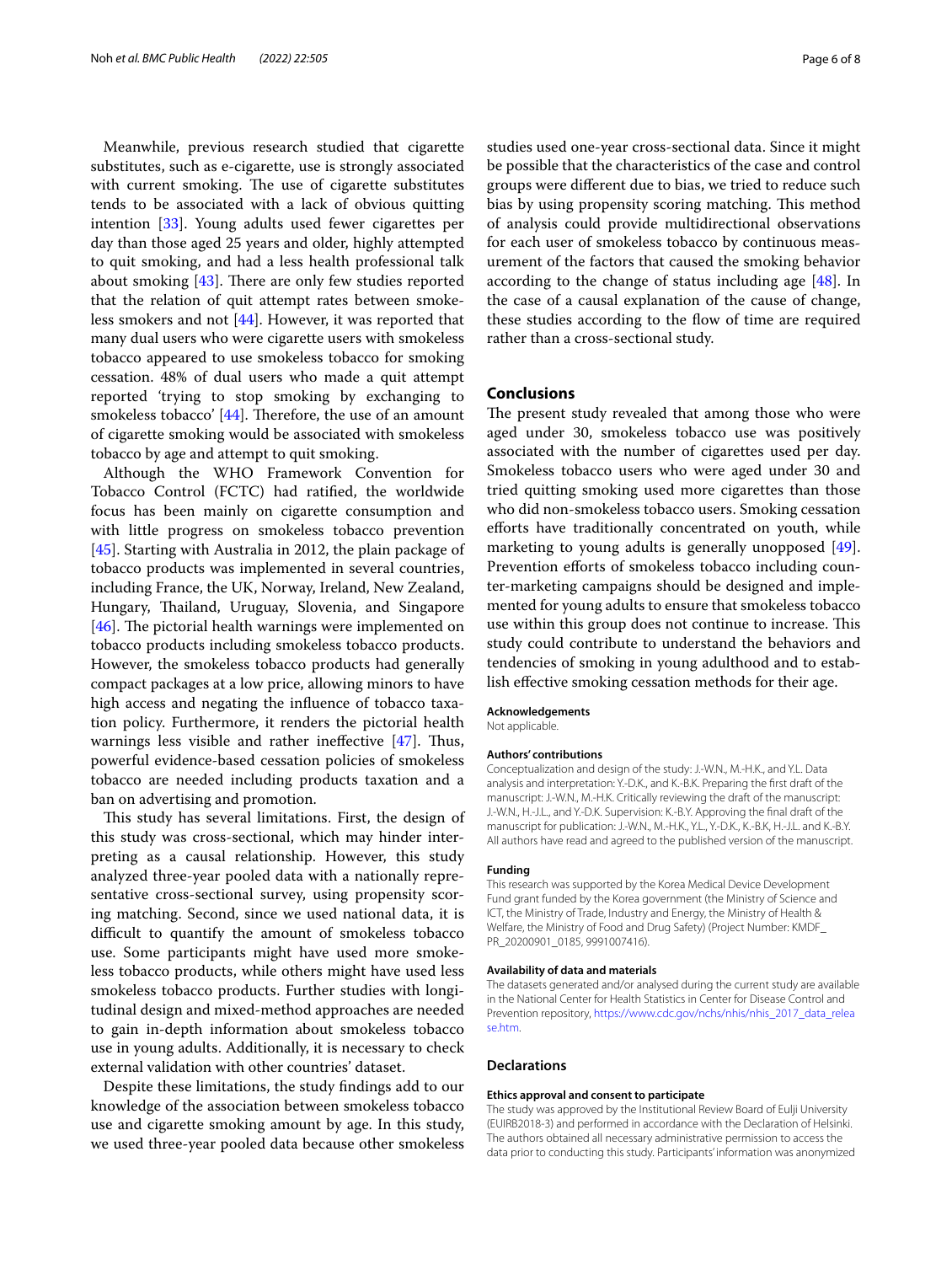Meanwhile, previous research studied that cigarette substitutes, such as e-cigarette, use is strongly associated with current smoking. The use of cigarette substitutes tends to be associated with a lack of obvious quitting intention [\[33\]](#page-6-28). Young adults used fewer cigarettes per day than those aged 25 years and older, highly attempted to quit smoking, and had a less health professional talk about smoking  $[43]$  $[43]$ . There are only few studies reported that the relation of quit attempt rates between smokeless smokers and not [\[44](#page-7-5)]. However, it was reported that many dual users who were cigarette users with smokeless tobacco appeared to use smokeless tobacco for smoking cessation. 48% of dual users who made a quit attempt reported 'trying to stop smoking by exchanging to smokeless tobacco'  $[44]$  $[44]$ . Therefore, the use of an amount of cigarette smoking would be associated with smokeless tobacco by age and attempt to quit smoking.

Although the WHO Framework Convention for Tobacco Control (FCTC) had ratifed, the worldwide focus has been mainly on cigarette consumption and with little progress on smokeless tobacco prevention [[45\]](#page-7-6). Starting with Australia in 2012, the plain package of tobacco products was implemented in several countries, including France, the UK, Norway, Ireland, New Zealand, Hungary, Thailand, Uruguay, Slovenia, and Singapore [ $46$ ]. The pictorial health warnings were implemented on tobacco products including smokeless tobacco products. However, the smokeless tobacco products had generally compact packages at a low price, allowing minors to have high access and negating the infuence of tobacco taxation policy. Furthermore, it renders the pictorial health warnings less visible and rather ineffective  $[47]$ . Thus, powerful evidence-based cessation policies of smokeless tobacco are needed including products taxation and a ban on advertising and promotion.

This study has several limitations. First, the design of this study was cross-sectional, which may hinder interpreting as a causal relationship. However, this study analyzed three-year pooled data with a nationally representative cross-sectional survey, using propensity scoring matching. Second, since we used national data, it is difficult to quantify the amount of smokeless tobacco use. Some participants might have used more smokeless tobacco products, while others might have used less smokeless tobacco products. Further studies with longitudinal design and mixed-method approaches are needed to gain in-depth information about smokeless tobacco use in young adults. Additionally, it is necessary to check external validation with other countries' dataset.

Despite these limitations, the study fndings add to our knowledge of the association between smokeless tobacco use and cigarette smoking amount by age. In this study, we used three-year pooled data because other smokeless studies used one-year cross-sectional data. Since it might be possible that the characteristics of the case and control groups were diferent due to bias, we tried to reduce such bias by using propensity scoring matching. This method of analysis could provide multidirectional observations for each user of smokeless tobacco by continuous measurement of the factors that caused the smoking behavior according to the change of status including age  $[48]$  $[48]$ . In the case of a causal explanation of the cause of change, these studies according to the fow of time are required rather than a cross-sectional study.

#### **Conclusions**

The present study revealed that among those who were aged under 30, smokeless tobacco use was positively associated with the number of cigarettes used per day. Smokeless tobacco users who were aged under 30 and tried quitting smoking used more cigarettes than those who did non-smokeless tobacco users. Smoking cessation efforts have traditionally concentrated on youth, while marketing to young adults is generally unopposed [\[49](#page-7-10)]. Prevention efforts of smokeless tobacco including counter-marketing campaigns should be designed and implemented for young adults to ensure that smokeless tobacco use within this group does not continue to increase. This study could contribute to understand the behaviors and tendencies of smoking in young adulthood and to establish efective smoking cessation methods for their age.

#### **Acknowledgements**

Not applicable.

#### **Authors' contributions**

Conceptualization and design of the study: J.-W.N., M.-H.K., and Y.L. Data analysis and interpretation: Y.-D.K., and K.-B.K. Preparing the frst draft of the manuscript: J.-W.N., M.-H.K. Critically reviewing the draft of the manuscript: J.-W.N., H.-J.L., and Y.-D.K. Supervision: K.-B.Y. Approving the fnal draft of the manuscript for publication: J.-W.N., M.-H.K., Y.L., Y.-D.K., K.-B.K, H.-J.L. and K.-B.Y. All authors have read and agreed to the published version of the manuscript.

#### **Funding**

This research was supported by the Korea Medical Device Development Fund grant funded by the Korea government (the Ministry of Science and ICT, the Ministry of Trade, Industry and Energy, the Ministry of Health & Welfare, the Ministry of Food and Drug Safety) (Project Number: KMDF\_ PR\_20200901\_0185, 9991007416).

#### **Availability of data and materials**

The datasets generated and/or analysed during the current study are available in the National Center for Health Statistics in Center for Disease Control and Prevention repository, [https://www.cdc.gov/nchs/nhis/nhis\\_2017\\_data\\_relea](https://www.cdc.gov/nchs/nhis/nhis_2017_data_release.htm) [se.htm.](https://www.cdc.gov/nchs/nhis/nhis_2017_data_release.htm)

#### **Declarations**

#### **Ethics approval and consent to participate**

The study was approved by the Institutional Review Board of Eulji University (EUIRB2018-3) and performed in accordance with the Declaration of Helsinki. The authors obtained all necessary administrative permission to access the data prior to conducting this study. Participants' information was anonymized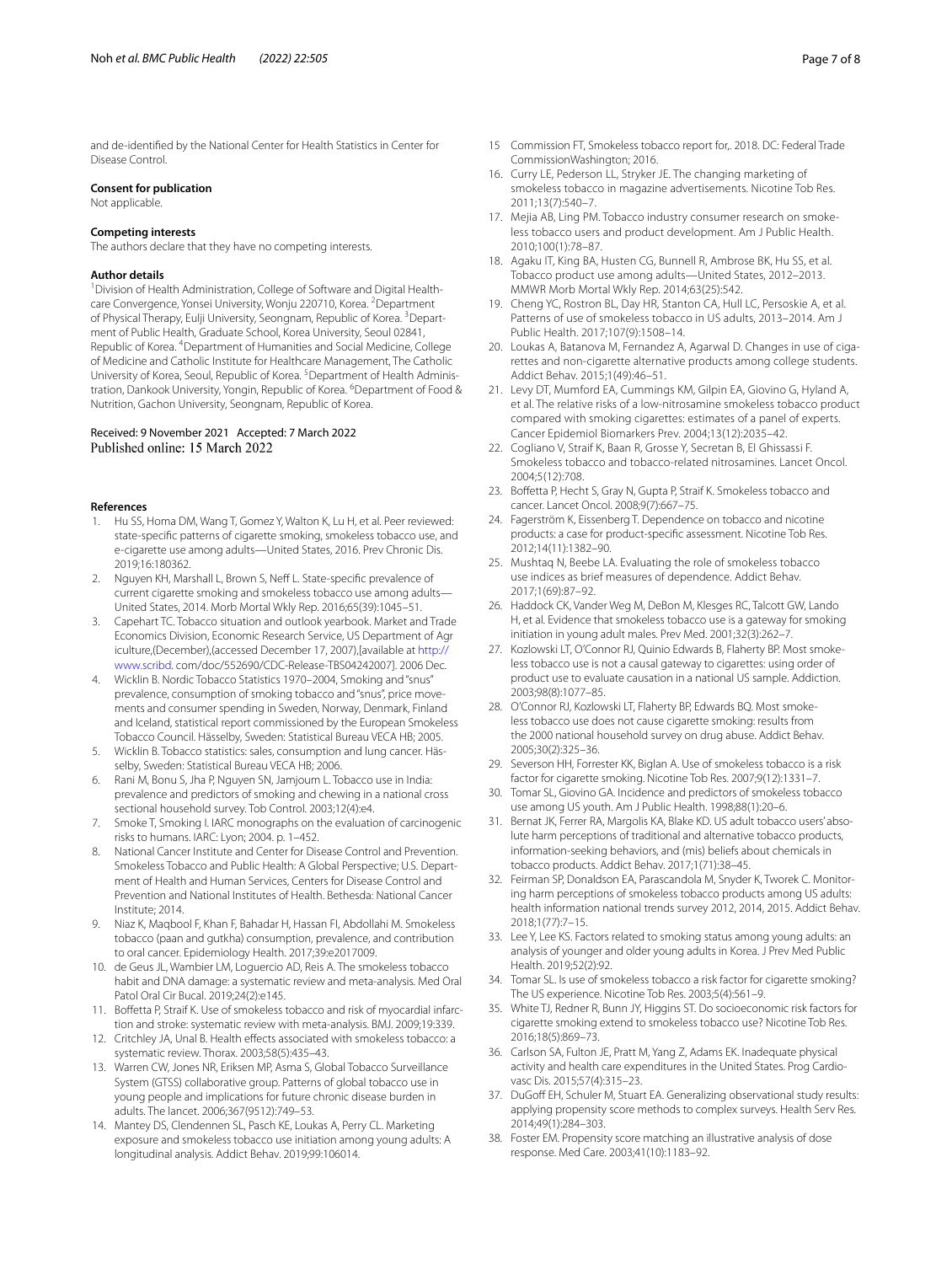and de-identifed by the National Center for Health Statistics in Center for Disease Control.

#### **Consent for publication**

Not applicable.

#### **Competing interests**

The authors declare that they have no competing interests.

#### **Author details**

<sup>1</sup> Division of Health Administration, College of Software and Digital Healthcare Convergence, Yonsei University, Wonju 220710, Korea. <sup>2</sup>Department of Physical Therapy, Eulji University, Seongnam, Republic of Korea. <sup>3</sup>Department of Public Health, Graduate School, Korea University, Seoul 02841, Republic of Korea. <sup>4</sup> Department of Humanities and Social Medicine, College of Medicine and Catholic Institute for Healthcare Management, The Catholic University of Korea, Seoul, Republic of Korea. <sup>5</sup> Department of Health Administration, Dankook University, Yongin, Republic of Korea. <sup>6</sup>Department of Food & Nutrition, Gachon University, Seongnam, Republic of Korea.

## Received: 9 November 2021 Accepted: 7 March 2022

#### **References**

- <span id="page-6-0"></span>Hu SS, Homa DM, Wang T, Gomez Y, Walton K, Lu H, et al. Peer reviewed: state-specifc patterns of cigarette smoking, smokeless tobacco use, and e-cigarette use among adults—United States, 2016. Prev Chronic Dis. 2019;16:180362.
- <span id="page-6-1"></span>2. Nguyen KH, Marshall L, Brown S, Neff L. State-specific prevalence of current cigarette smoking and smokeless tobacco use among adults— United States, 2014. Morb Mortal Wkly Rep. 2016;65(39):1045–51.
- <span id="page-6-2"></span>3. Capehart TC. Tobacco situation and outlook yearbook. Market and Trade Economics Division, Economic Research Service, US Department of Agr iculture,(December),(accessed December 17, 2007),[available at [http://](http://www.scribd) [www.scribd](http://www.scribd). com/doc/552690/CDC-Release-TBS04242007]. 2006 Dec.
- <span id="page-6-3"></span>4. Wicklin B. Nordic Tobacco Statistics 1970–2004, Smoking and "snus" prevalence, consumption of smoking tobacco and "snus", price movements and consumer spending in Sweden, Norway, Denmark, Finland and Iceland, statistical report commissioned by the European Smokeless Tobacco Council. Hässelby, Sweden: Statistical Bureau VECA HB; 2005.
- <span id="page-6-4"></span>5. Wicklin B. Tobacco statistics: sales, consumption and lung cancer. Häs‑ selby, Sweden: Statistical Bureau VECA HB; 2006.
- <span id="page-6-5"></span>6. Rani M, Bonu S, Jha P, Nguyen SN, Jamjoum L. Tobacco use in India: prevalence and predictors of smoking and chewing in a national cross sectional household survey. Tob Control. 2003;12(4):e4.
- <span id="page-6-6"></span>7. Smoke T, Smoking I. IARC monographs on the evaluation of carcinogenic risks to humans. IARC: Lyon; 2004. p. 1–452.
- <span id="page-6-7"></span>8. National Cancer Institute and Center for Disease Control and Prevention. Smokeless Tobacco and Public Health: A Global Perspective; U.S. Department of Health and Human Services, Centers for Disease Control and Prevention and National Institutes of Health. Bethesda: National Cancer Institute; 2014.
- <span id="page-6-8"></span>9. Niaz K, Maqbool F, Khan F, Bahadar H, Hassan FI, Abdollahi M. Smokeless tobacco (paan and gutkha) consumption, prevalence, and contribution to oral cancer. Epidemiology Health. 2017;39:e2017009.
- <span id="page-6-9"></span>10. de Geus JL, Wambier LM, Loguercio AD, Reis A. The smokeless tobacco habit and DNA damage: a systematic review and meta-analysis. Med Oral Patol Oral Cir Bucal. 2019;24(2):e145.
- <span id="page-6-10"></span>11. Boffetta P, Straif K. Use of smokeless tobacco and risk of myocardial infarction and stroke: systematic review with meta-analysis. BMJ. 2009;19:339.
- <span id="page-6-11"></span>12. Critchley JA, Unal B. Health effects associated with smokeless tobacco: a systematic review. Thorax. 2003;58(5):435–43.
- <span id="page-6-12"></span>13. Warren CW, Jones NR, Eriksen MP, Asma S, Global Tobacco Surveillance System (GTSS) collaborative group. Patterns of global tobacco use in young people and implications for future chronic disease burden in adults. The lancet. 2006;367(9512):749–53.
- <span id="page-6-13"></span>14. Mantey DS, Clendennen SL, Pasch KE, Loukas A, Perry CL. Marketing exposure and smokeless tobacco use initiation among young adults: A longitudinal analysis. Addict Behav. 2019;99:106014.
- <span id="page-6-14"></span>15 Commission FT, Smokeless tobacco report for,. 2018. DC: Federal Trade CommissionWashington; 2016.
- <span id="page-6-15"></span>16. Curry LE, Pederson LL, Stryker JE. The changing marketing of smokeless tobacco in magazine advertisements. Nicotine Tob Res. 2011;13(7):540–7.
- <span id="page-6-16"></span>17. Mejia AB, Ling PM. Tobacco industry consumer research on smokeless tobacco users and product development. Am J Public Health. 2010;100(1):78–87.
- <span id="page-6-17"></span>18. Agaku IT, King BA, Husten CG, Bunnell R, Ambrose BK, Hu SS, et al. Tobacco product use among adults—United States, 2012–2013. MMWR Morb Mortal Wkly Rep. 2014;63(25):542.
- 19. Cheng YC, Rostron BL, Day HR, Stanton CA, Hull LC, Persoskie A, et al. Patterns of use of smokeless tobacco in US adults, 2013–2014. Am J Public Health. 2017;107(9):1508–14.
- <span id="page-6-18"></span>20. Loukas A, Batanova M, Fernandez A, Agarwal D. Changes in use of cigarettes and non-cigarette alternative products among college students. Addict Behav. 2015;1(49):46–51.
- <span id="page-6-19"></span>21. Levy DT, Mumford EA, Cummings KM, Gilpin EA, Giovino G, Hyland A, et al. The relative risks of a low-nitrosamine smokeless tobacco product compared with smoking cigarettes: estimates of a panel of experts. Cancer Epidemiol Biomarkers Prev. 2004;13(12):2035–42.
- <span id="page-6-20"></span>22. Cogliano V, Straif K, Baan R, Grosse Y, Secretan B, El Ghissassi F. Smokeless tobacco and tobacco-related nitrosamines. Lancet Oncol. 2004;5(12):708.
- <span id="page-6-21"></span>23. Bofetta P, Hecht S, Gray N, Gupta P, Straif K. Smokeless tobacco and cancer. Lancet Oncol. 2008;9(7):667–75.
- <span id="page-6-22"></span>24. Fagerström K, Eissenberg T. Dependence on tobacco and nicotine products: a case for product-specifc assessment. Nicotine Tob Res. 2012;14(11):1382–90.
- <span id="page-6-23"></span>25. Mushtaq N, Beebe LA. Evaluating the role of smokeless tobacco use indices as brief measures of dependence. Addict Behav. 2017;1(69):87–92.
- <span id="page-6-24"></span>26. Haddock CK, Vander Weg M, DeBon M, Klesges RC, Talcott GW, Lando H, et al. Evidence that smokeless tobacco use is a gateway for smoking initiation in young adult males. Prev Med. 2001;32(3):262–7.
- 27. Kozlowski LT, O'Connor RJ, Quinio Edwards B, Flaherty BP. Most smokeless tobacco use is not a causal gateway to cigarettes: using order of product use to evaluate causation in a national US sample. Addiction. 2003;98(8):1077–85.
- 28. O'Connor RJ, Kozlowski LT, Flaherty BP, Edwards BQ. Most smokeless tobacco use does not cause cigarette smoking: results from the 2000 national household survey on drug abuse. Addict Behav. 2005;30(2):325–36.
- <span id="page-6-29"></span>29. Severson HH, Forrester KK, Biglan A. Use of smokeless tobacco is a risk factor for cigarette smoking. Nicotine Tob Res. 2007;9(12):1331–7.
- <span id="page-6-25"></span>30. Tomar SL, Giovino GA. Incidence and predictors of smokeless tobacco use among US youth. Am J Public Health. 1998;88(1):20–6.
- <span id="page-6-26"></span>31. Bernat JK, Ferrer RA, Margolis KA, Blake KD. US adult tobacco users'absolute harm perceptions of traditional and alternative tobacco products, information-seeking behaviors, and (mis) beliefs about chemicals in tobacco products. Addict Behav. 2017;1(71):38–45.
- <span id="page-6-27"></span>32. Feirman SP, Donaldson EA, Parascandola M, Snyder K, Tworek C. Monitoring harm perceptions of smokeless tobacco products among US adults: health information national trends survey 2012, 2014, 2015. Addict Behav. 2018;1(77):7–15.
- <span id="page-6-28"></span>33. Lee Y, Lee KS. Factors related to smoking status among young adults: an analysis of younger and older young adults in Korea. J Prev Med Public Health. 2019;52(2):92.
- <span id="page-6-30"></span>34. Tomar SL. Is use of smokeless tobacco a risk factor for cigarette smoking? The US experience. Nicotine Tob Res. 2003;5(4):561–9.
- <span id="page-6-31"></span>35. White TJ, Redner R, Bunn JY, Higgins ST. Do socioeconomic risk factors for cigarette smoking extend to smokeless tobacco use? Nicotine Tob Res. 2016;18(5):869–73.
- <span id="page-6-32"></span>36. Carlson SA, Fulton JE, Pratt M, Yang Z, Adams EK. Inadequate physical activity and health care expenditures in the United States. Prog Cardiovasc Dis. 2015;57(4):315–23.
- <span id="page-6-33"></span>37. DuGoff EH, Schuler M, Stuart EA. Generalizing observational study results: applying propensity score methods to complex surveys. Health Serv Res. 2014;49(1):284–303.
- <span id="page-6-34"></span>38. Foster EM. Propensity score matching an illustrative analysis of dose response. Med Care. 2003;41(10):1183–92.